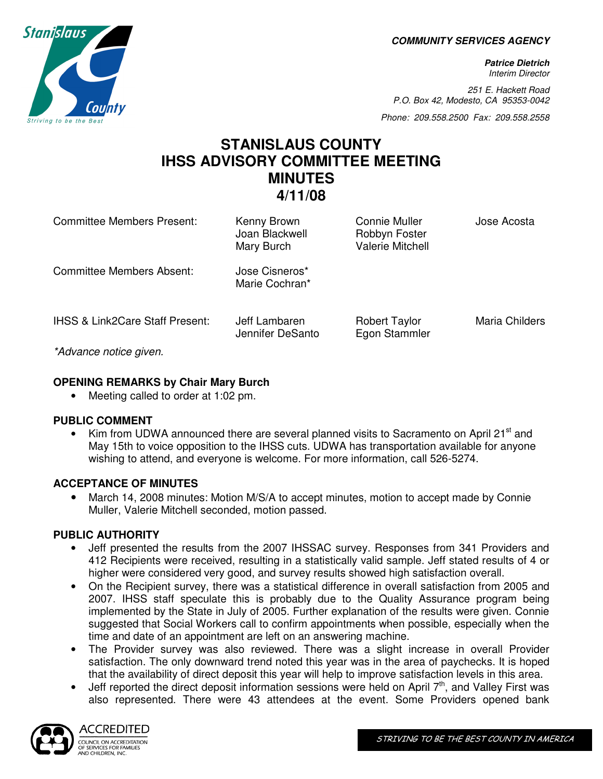**COMMUNITY SERVICES AGENCY** 

**Patrice Dietrich**  Interim Director

251 E. Hackett Road P.O. Box 42, Modesto, CA 95353-0042

Phone: 209.558.2500 Fax: 209.558.2558

# **STANISLAUS COUNTY IHSS ADVISORY COMMITTEE MEETING MINUTES 4/11/08**

| <b>Committee Members Present:</b>                                      | Kenny Brown<br>Joan Blackwell<br>Mary Burch | Connie Muller<br>Robbyn Foster<br>Valerie Mitchell | Jose Acosta    |
|------------------------------------------------------------------------|---------------------------------------------|----------------------------------------------------|----------------|
| Committee Members Absent:                                              | Jose Cisneros*<br>Marie Cochran*            |                                                    |                |
| <b>IHSS &amp; Link2Care Staff Present:</b><br>$*A$ duanoa natioa givan | Jeff Lambaren<br>Jennifer DeSanto           | <b>Robert Taylor</b><br>Egon Stammler              | Maria Childers |

\*Advance notice given.

## **OPENING REMARKS by Chair Mary Burch**

• Meeting called to order at 1:02 pm.

## **PUBLIC COMMENT**

Kim from UDWA announced there are several planned visits to Sacramento on April 21<sup>st</sup> and May 15th to voice opposition to the IHSS cuts. UDWA has transportation available for anyone wishing to attend, and everyone is welcome. For more information, call 526-5274.

## **ACCEPTANCE OF MINUTES**

• March 14, 2008 minutes: Motion M/S/A to accept minutes, motion to accept made by Connie Muller, Valerie Mitchell seconded, motion passed.

## **PUBLIC AUTHORITY**

- Jeff presented the results from the 2007 IHSSAC survey. Responses from 341 Providers and 412 Recipients were received, resulting in a statistically valid sample. Jeff stated results of 4 or higher were considered very good, and survey results showed high satisfaction overall.
- On the Recipient survey, there was a statistical difference in overall satisfaction from 2005 and 2007. IHSS staff speculate this is probably due to the Quality Assurance program being implemented by the State in July of 2005. Further explanation of the results were given. Connie suggested that Social Workers call to confirm appointments when possible, especially when the time and date of an appointment are left on an answering machine.
- The Provider survey was also reviewed. There was a slight increase in overall Provider satisfaction. The only downward trend noted this year was in the area of paychecks. It is hoped that the availability of direct deposit this year will help to improve satisfaction levels in this area.
- Jeff reported the direct deposit information sessions were held on April  $7<sup>th</sup>$ , and Valley First was also represented. There were 43 attendees at the event. Some Providers opened bank